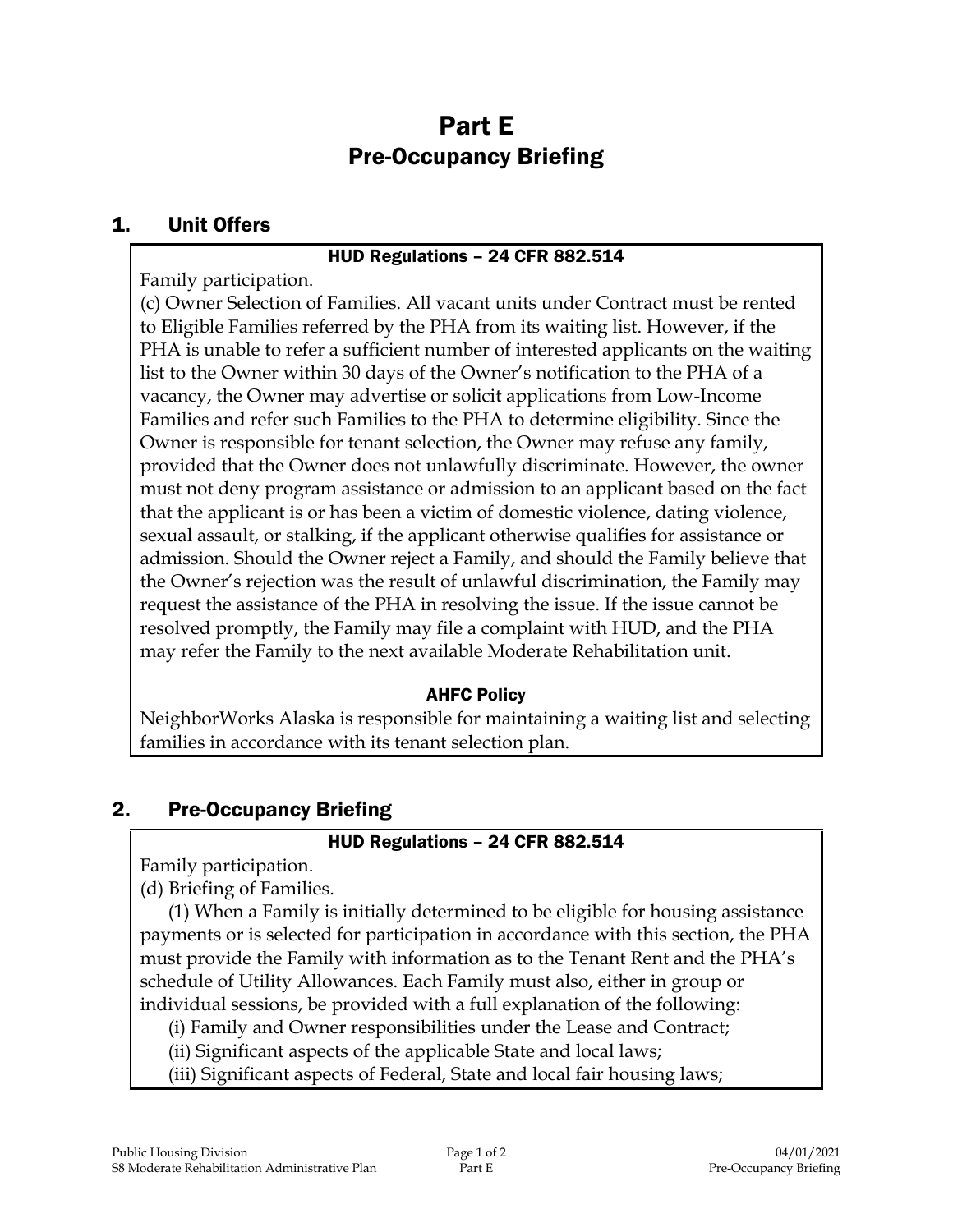# Part E Pre-Occupancy Briefing

### 1. Unit Offers

#### HUD Regulations – 24 CFR 882.514

Family participation.

(c) Owner Selection of Families. All vacant units under Contract must be rented to Eligible Families referred by the PHA from its waiting list. However, if the PHA is unable to refer a sufficient number of interested applicants on the waiting list to the Owner within 30 days of the Owner's notification to the PHA of a vacancy, the Owner may advertise or solicit applications from Low-Income Families and refer such Families to the PHA to determine eligibility. Since the Owner is responsible for tenant selection, the Owner may refuse any family, provided that the Owner does not unlawfully discriminate. However, the owner must not deny program assistance or admission to an applicant based on the fact that the applicant is or has been a victim of domestic violence, dating violence, sexual assault, or stalking, if the applicant otherwise qualifies for assistance or admission. Should the Owner reject a Family, and should the Family believe that the Owner's rejection was the result of unlawful discrimination, the Family may request the assistance of the PHA in resolving the issue. If the issue cannot be resolved promptly, the Family may file a complaint with HUD, and the PHA may refer the Family to the next available Moderate Rehabilitation unit.

## AHFC Policy

NeighborWorks Alaska is responsible for maintaining a waiting list and selecting families in accordance with its tenant selection plan.

## 2. Pre-Occupancy Briefing

#### HUD Regulations – 24 CFR 882.514

Family participation.

(d) Briefing of Families.

(1) When a Family is initially determined to be eligible for housing assistance payments or is selected for participation in accordance with this section, the PHA must provide the Family with information as to the Tenant Rent and the PHA's schedule of Utility Allowances. Each Family must also, either in group or individual sessions, be provided with a full explanation of the following:

(i) Family and Owner responsibilities under the Lease and Contract;

(ii) Significant aspects of the applicable State and local laws;

(iii) Significant aspects of Federal, State and local fair housing laws;